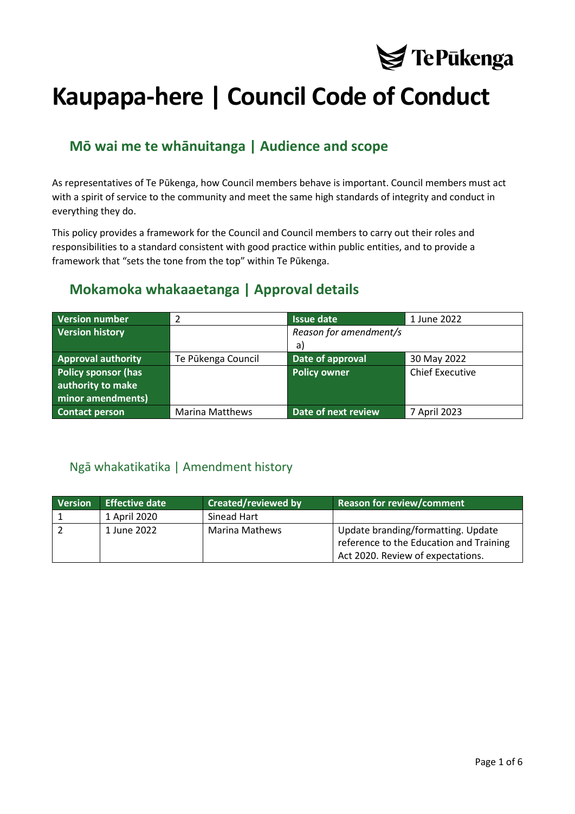

# **Kaupapa-here | Council Code of Conduct**

### **Mō wai me te whānuitanga | Audience and scope**

As representatives of Te Pūkenga, how Council members behave is important. Council members must act with a spirit of service to the community and meet the same high standards of integrity and conduct in everything they do.

This policy provides a framework for the Council and Council members to carry out their roles and responsibilities to a standard consistent with good practice within public entities, and to provide a framework that "sets the tone from the top" within Te Pūkenga.

### **Mokamoka whakaaetanga | Approval details**

| <b>Version number</b>     |                        | <b>Issue date</b>      | 1 June 2022            |
|---------------------------|------------------------|------------------------|------------------------|
| <b>Version history</b>    |                        | Reason for amendment/s |                        |
|                           |                        | a)                     |                        |
| <b>Approval authority</b> | Te Pūkenga Council     | Date of approval       | 30 May 2022            |
| Policy sponsor (has       |                        | <b>Policy owner</b>    | <b>Chief Executive</b> |
| authority to make         |                        |                        |                        |
| minor amendments)         |                        |                        |                        |
| <b>Contact person</b>     | <b>Marina Matthews</b> | Date of next review    | 7 April 2023           |

### <span id="page-0-0"></span>Ngā whakatikatika | Amendment history

| <b>Version</b> | <b>Effective date</b> | <b>Created/reviewed by</b> | <b>Reason for review/comment</b>                                              |
|----------------|-----------------------|----------------------------|-------------------------------------------------------------------------------|
|                | 1 April 2020          | Sinead Hart                |                                                                               |
|                | 1 June 2022           | <b>Marina Mathews</b>      | Update branding/formatting. Update<br>reference to the Education and Training |
|                |                       |                            | Act 2020. Review of expectations.                                             |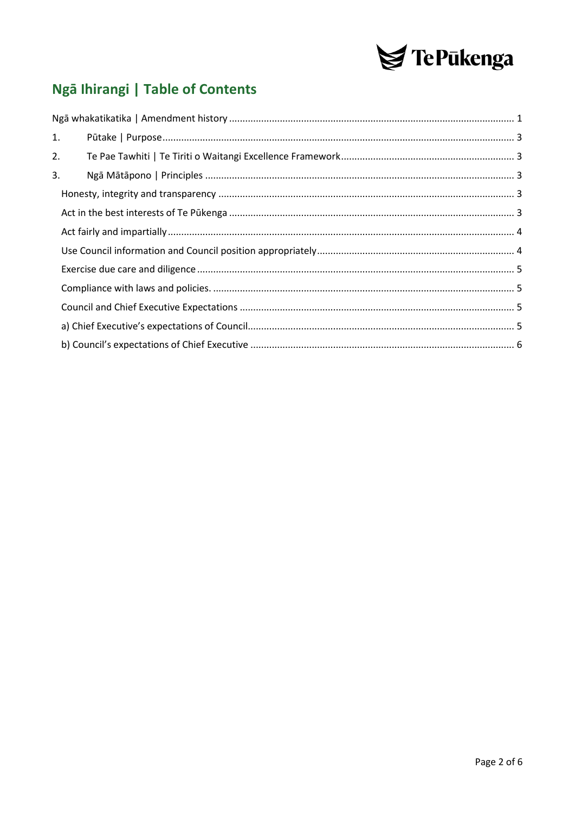

## Ngā Ihirangi | Table of Contents

| 1. |  |
|----|--|
| 2. |  |
| 3. |  |
|    |  |
|    |  |
|    |  |
|    |  |
|    |  |
|    |  |
|    |  |
|    |  |
|    |  |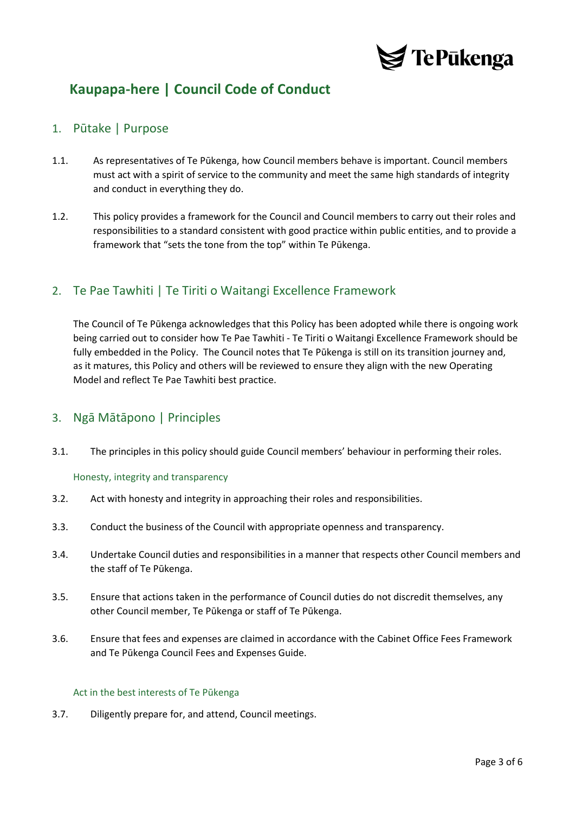

### **Kaupapa-here | Council Code of Conduct**

#### <span id="page-2-0"></span>1. Pūtake | Purpose

- 1.1. As representatives of Te Pūkenga, how Council members behave is important. Council members must act with a spirit of service to the community and meet the same high standards of integrity and conduct in everything they do.
- 1.2. This policy provides a framework for the Council and Council members to carry out their roles and responsibilities to a standard consistent with good practice within public entities, and to provide a framework that "sets the tone from the top" within Te Pūkenga.

#### <span id="page-2-1"></span>2. Te Pae Tawhiti | Te Tiriti o Waitangi Excellence Framework

The Council of Te Pūkenga acknowledges that this Policy has been adopted while there is ongoing work being carried out to consider how Te Pae Tawhiti - Te Tiriti o Waitangi Excellence Framework should be fully embedded in the Policy. The Council notes that Te Pūkenga is still on its transition journey and, as it matures, this Policy and others will be reviewed to ensure they align with the new Operating Model and reflect Te Pae Tawhiti best practice.

#### <span id="page-2-2"></span>3. Ngā Mātāpono | Principles

<span id="page-2-3"></span>3.1. The principles in this policy should guide Council members' behaviour in performing their roles.

#### Honesty, integrity and transparency

- 3.2. Act with honesty and integrity in approaching their roles and responsibilities.
- 3.3. Conduct the business of the Council with appropriate openness and transparency.
- 3.4. Undertake Council duties and responsibilities in a manner that respects other Council members and the staff of Te Pūkenga.
- 3.5. Ensure that actions taken in the performance of Council duties do not discredit themselves, any other Council member, Te Pūkenga or staff of Te Pūkenga.
- 3.6. Ensure that fees and expenses are claimed in accordance with the Cabinet Office Fees Framework and Te Pūkenga Council Fees and Expenses Guide.

#### <span id="page-2-4"></span>Act in the best interests of Te Pūkenga

3.7. Diligently prepare for, and attend, Council meetings.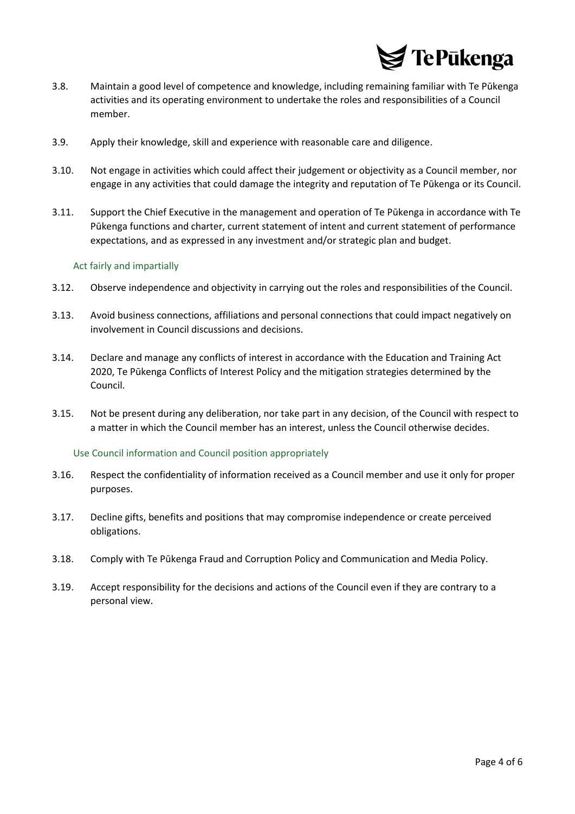

- 3.8. Maintain a good level of competence and knowledge, including remaining familiar with Te Pūkenga activities and its operating environment to undertake the roles and responsibilities of a Council member.
- 3.9. Apply their knowledge, skill and experience with reasonable care and diligence.
- 3.10. Not engage in activities which could affect their judgement or objectivity as a Council member, nor engage in any activities that could damage the integrity and reputation of Te Pūkenga or its Council.
- 3.11. Support the Chief Executive in the management and operation of Te Pūkenga in accordance with Te Pūkenga functions and charter, current statement of intent and current statement of performance expectations, and as expressed in any investment and/or strategic plan and budget.

#### <span id="page-3-0"></span>Act fairly and impartially

- 3.12. Observe independence and objectivity in carrying out the roles and responsibilities of the Council.
- 3.13. Avoid business connections, affiliations and personal connections that could impact negatively on involvement in Council discussions and decisions.
- 3.14. Declare and manage any conflicts of interest in accordance with the Education and Training Act 2020, Te Pūkenga Conflicts of Interest Policy and the mitigation strategies determined by the Council.
- 3.15. Not be present during any deliberation, nor take part in any decision, of the Council with respect to a matter in which the Council member has an interest, unless the Council otherwise decides.

#### <span id="page-3-1"></span>Use Council information and Council position appropriately

- 3.16. Respect the confidentiality of information received as a Council member and use it only for proper purposes.
- 3.17. Decline gifts, benefits and positions that may compromise independence or create perceived obligations.
- 3.18. Comply with Te Pūkenga Fraud and Corruption Policy and Communication and Media Policy.
- 3.19. Accept responsibility for the decisions and actions of the Council even if they are contrary to a personal view.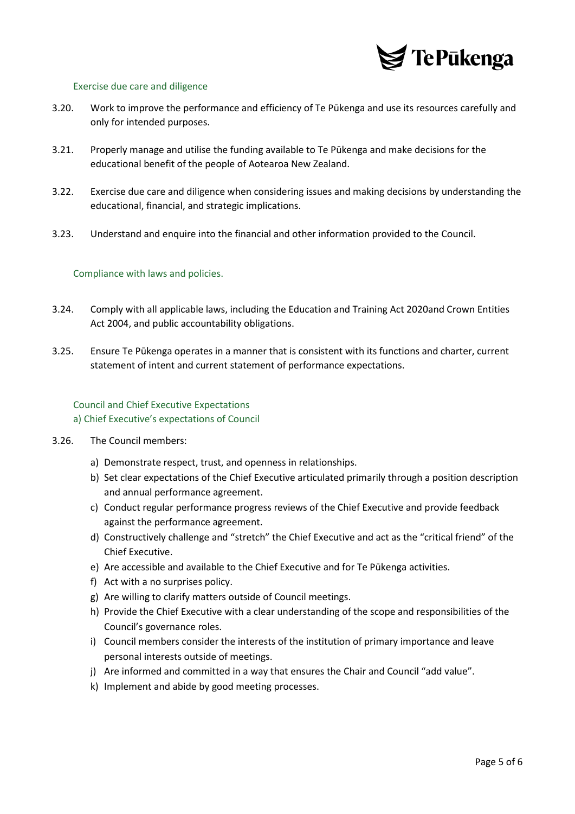

#### <span id="page-4-0"></span>Exercise due care and diligence

- 3.20. Work to improve the performance and efficiency of Te Pūkenga and use its resources carefully and only for intended purposes.
- 3.21. Properly manage and utilise the funding available to Te Pūkenga and make decisions for the educational benefit of the people of Aotearoa New Zealand.
- 3.22. Exercise due care and diligence when considering issues and making decisions by understanding the educational, financial, and strategic implications.
- 3.23. Understand and enquire into the financial and other information provided to the Council.

#### <span id="page-4-1"></span>Compliance with laws and policies.

- 3.24. Comply with all applicable laws, including the Education and Training Act 2020and Crown Entities Act 2004, and public accountability obligations.
- 3.25. Ensure Te Pūkenga operates in a manner that is consistent with its functions and charter, current statement of intent and current statement of performance expectations.

#### <span id="page-4-2"></span>Council and Chief Executive Expectations a) Chief Executive's expectations of Council

- <span id="page-4-3"></span>3.26. The Council members:
	- a) Demonstrate respect, trust, and openness in relationships.
	- b) Set clear expectations of the Chief Executive articulated primarily through a position description and annual performance agreement.
	- c) Conduct regular performance progress reviews of the Chief Executive and provide feedback against the performance agreement.
	- d) Constructively challenge and "stretch" the Chief Executive and act as the "critical friend" of the Chief Executive.
	- e) Are accessible and available to the Chief Executive and for Te Pūkenga activities.
	- f) Act with a no surprises policy.
	- g) Are willing to clarify matters outside of Council meetings.
	- h) Provide the Chief Executive with a clear understanding of the scope and responsibilities of the Council's governance roles.
	- i) Council members consider the interests of the institution of primary importance and leave personal interests outside of meetings.
	- j) Are informed and committed in a way that ensures the Chair and Council "add value".
	- k) Implement and abide by good meeting processes.